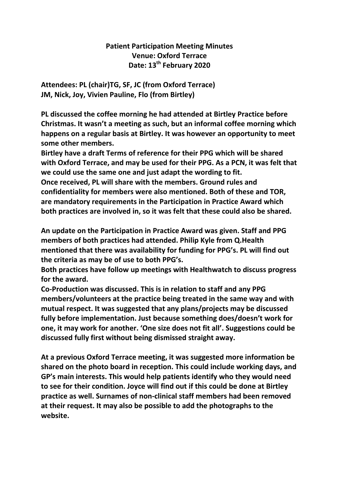## **Patient Participation Meeting Minutes Venue: Oxford Terrace Date: 13th February 2020**

**Attendees: PL (chair)TG, SF, JC (from Oxford Terrace) JM, Nick, Joy, Vivien Pauline, Flo (from Birtley)**

**PL discussed the coffee morning he had attended at Birtley Practice before Christmas. It wasn't a meeting as such, but an informal coffee morning which happens on a regular basis at Birtley. It was however an opportunity to meet some other members.** 

**Birtley have a draft Terms of reference for their PPG which will be shared with Oxford Terrace, and may be used for their PPG. As a PCN, it was felt that we could use the same one and just adapt the wording to fit. Once received, PL will share with the members. Ground rules and confidentiality for members were also mentioned. Both of these and TOR, are mandatory requirements in the Participation in Practice Award which both practices are involved in, so it was felt that these could also be shared.**

**An update on the Participation in Practice Award was given. Staff and PPG members of both practices had attended. Philip Kyle from Q.Health mentioned that there was availability for funding for PPG's. PL will find out the criteria as may be of use to both PPG's.**

**Both practices have follow up meetings with Healthwatch to discuss progress for the award.**

**Co-Production was discussed. This is in relation to staff and any PPG members/volunteers at the practice being treated in the same way and with mutual respect. It was suggested that any plans/projects may be discussed fully before implementation. Just because something does/doesn't work for one, it may work for another. 'One size does not fit all'. Suggestions could be discussed fully first without being dismissed straight away.**

**At a previous Oxford Terrace meeting, it was suggested more information be shared on the photo board in reception. This could include working days, and GP's main interests. This would help patients identify who they would need to see for their condition. Joyce will find out if this could be done at Birtley practice as well. Surnames of non-clinical staff members had been removed at their request. It may also be possible to add the photographs to the website.**